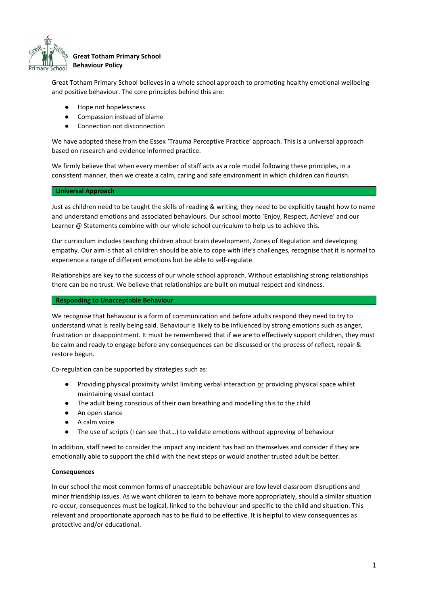

# **Great Totham Primary School Behaviour Policy**

Great Totham Primary School believes in a whole school approach to promoting healthy emotional wellbeing and positive behaviour. The core principles behind this are:

- Hope not hopelessness
- Compassion instead of blame
- Connection not disconnection

We have adopted these from the Essex 'Trauma Perceptive Practice' approach. This is a universal approach based on research and evidence informed practice.

We firmly believe that when every member of staff acts as a role model following these principles, in a consistent manner, then we create a calm, caring and safe environment in which children can flourish.

### **Universal Approach**

Just as children need to be taught the skills of reading & writing, they need to be explicitly taught how to name and understand emotions and associated behaviours. Our school motto 'Enjoy, Respect, Achieve' and our Learner @ Statements combine with our whole school curriculum to help us to achieve this.

Our curriculum includes teaching children about brain development, Zones of Regulation and developing empathy. Our aim is that all children should be able to cope with life's challenges, recognise that it is normal to experience a range of different emotions but be able to self-regulate.

Relationships are key to the success of our whole school approach. Without establishing strong relationships there can be no trust. We believe that relationships are built on mutual respect and kindness.

#### **Responding to Unacceptable Behaviour**

We recognise that behaviour is a form of communication and before adults respond they need to try to understand what is really being said. Behaviour is likely to be influenced by strong emotions such as anger, frustration or disappointment. It must be remembered that if we are to effectively support children, they must be calm and ready to engage before any consequences can be discussed or the process of reflect, repair & restore begun.

Co-regulation can be supported by strategies such as:

- Providing physical proximity whilst limiting verbal interaction or providing physical space whilst maintaining visual contact
- The adult being conscious of their own breathing and modelling this to the child
- An open stance
- A calm voice
- The use of scripts (I can see that…) to validate emotions without approving of behaviour

In addition, staff need to consider the impact any incident has had on themselves and consider if they are emotionally able to support the child with the next steps or would another trusted adult be better.

### **Consequences**

In our school the most common forms of unacceptable behaviour are low level classroom disruptions and minor friendship issues. As we want children to learn to behave more appropriately, should a similar situation re-occur, consequences must be logical, linked to the behaviour and specific to the child and situation. This relevant and proportionate approach has to be fluid to be effective. It is helpful to view consequences as protective and/or educational.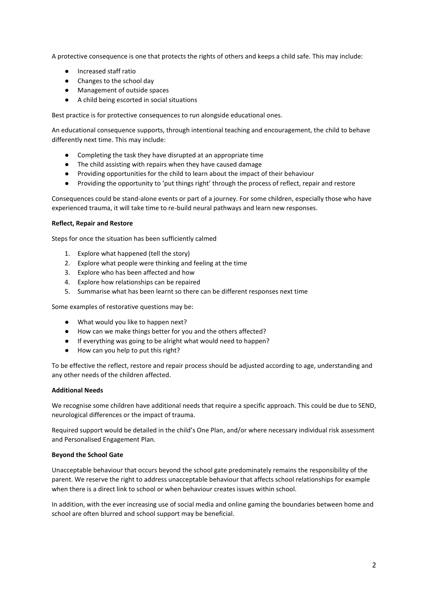A protective consequence is one that protects the rights of others and keeps a child safe. This may include:

- Increased staff ratio
- Changes to the school day
- Management of outside spaces
- A child being escorted in social situations

Best practice is for protective consequences to run alongside educational ones.

An educational consequence supports, through intentional teaching and encouragement, the child to behave differently next time. This may include:

- Completing the task they have disrupted at an appropriate time
- The child assisting with repairs when they have caused damage
- Providing opportunities for the child to learn about the impact of their behaviour
- Providing the opportunity to 'put things right' through the process of reflect, repair and restore

Consequences could be stand-alone events or part of a journey. For some children, especially those who have experienced trauma, it will take time to re-build neural pathways and learn new responses.

### **Reflect, Repair and Restore**

Steps for once the situation has been sufficiently calmed

- 1. Explore what happened (tell the story)
- 2. Explore what people were thinking and feeling at the time
- 3. Explore who has been affected and how
- 4. Explore how relationships can be repaired
- 5. Summarise what has been learnt so there can be different responses next time

Some examples of restorative questions may be:

- What would you like to happen next?
- How can we make things better for you and the others affected?
- If everything was going to be alright what would need to happen?
- How can you help to put this right?

To be effective the reflect, restore and repair process should be adjusted according to age, understanding and any other needs of the children affected.

## **Additional Needs**

We recognise some children have additional needs that require a specific approach. This could be due to SEND, neurological differences or the impact of trauma.

Required support would be detailed in the child's One Plan, and/or where necessary individual risk assessment and Personalised Engagement Plan.

### **Beyond the School Gate**

Unacceptable behaviour that occurs beyond the school gate predominately remains the responsibility of the parent. We reserve the right to address unacceptable behaviour that affects school relationships for example when there is a direct link to school or when behaviour creates issues within school.

In addition, with the ever increasing use of social media and online gaming the boundaries between home and school are often blurred and school support may be beneficial.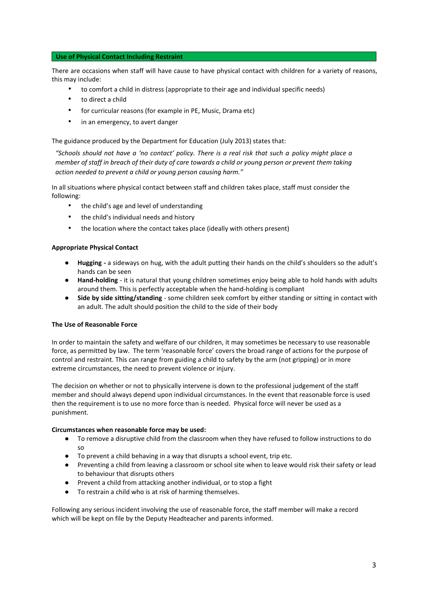### **Use of Physical Contact Including Restraint**

There are occasions when staff will have cause to have physical contact with children for a variety of reasons, this may include:

- to comfort a child in distress (appropriate to their age and individual specific needs)
- to direct a child
- for curricular reasons (for example in PE, Music, Drama etc)
- in an emergency, to avert danger

The guidance produced by the Department for Education (July 2013) states that:

"Schools should not have a 'no contact' policy. There is a real risk that such a policy might place a *member of staff in breach of their duty of care towards a child or young person or prevent them taking action needed to prevent a child or young person causing harm."*

In all situations where physical contact between staff and children takes place, staff must consider the following:

- the child's age and level of understanding
- the child's individual needs and history
- the location where the contact takes place (ideally with others present)

### **Appropriate Physical Contact**

- **Hugging -** a sideways on hug, with the adult putting their hands on the child's shoulders so the adult's hands can be seen
- **Hand-holding** it is natural that young children sometimes enjoy being able to hold hands with adults around them. This is perfectly acceptable when the hand-holding is compliant
- **Side by side sitting/standing** some children seek comfort by either standing or sitting in contact with an adult. The adult should position the child to the side of their body

### **The Use of Reasonable Force**

In order to maintain the safety and welfare of our children, it may sometimes be necessary to use reasonable force, as permitted by law. The term 'reasonable force' covers the broad range of actions for the purpose of control and restraint. This can range from guiding a child to safety by the arm (not gripping) or in more extreme circumstances, the need to prevent violence or injury.

The decision on whether or not to physically intervene is down to the professional judgement of the staff member and should always depend upon individual circumstances. In the event that reasonable force is used then the requirement is to use no more force than is needed. Physical force will never be used as a punishment.

### **Circumstances when reasonable force may be used:**

- To remove a disruptive child from the classroom when they have refused to follow instructions to do so
- To prevent a child behaving in a way that disrupts a school event, trip etc.
- Preventing a child from leaving a classroom or school site when to leave would risk their safety or lead to behaviour that disrupts others
- Prevent a child from attacking another individual, or to stop a fight
- To restrain a child who is at risk of harming themselves.

Following any serious incident involving the use of reasonable force, the staff member will make a record which will be kept on file by the Deputy Headteacher and parents informed.